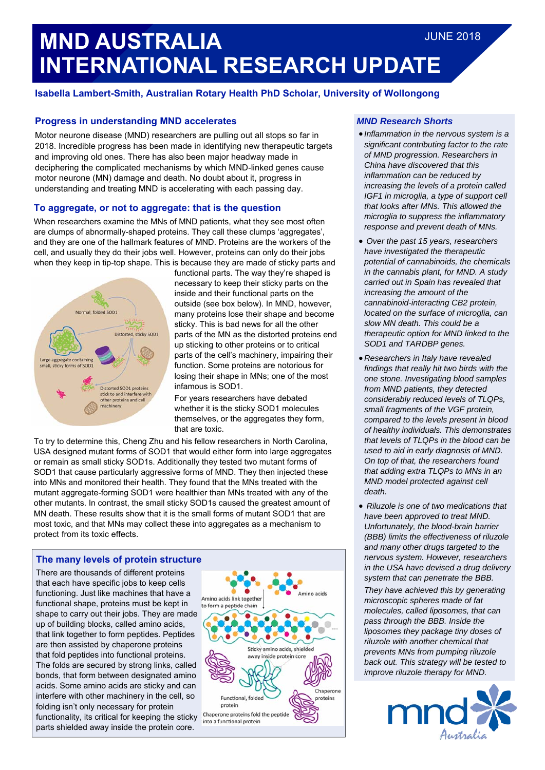# **Isabella Lambert-Smith, Australian Rotary Health PhD Scholar, University of Wollongong**

# **Progress in understanding MND accelerates**

Motor neurone disease (MND) researchers are pulling out all stops so far in 2018. Incredible progress has been made in identifying new therapeutic targets and improving old ones. There has also been major headway made in deciphering the complicated mechanisms by which MND-linked genes cause motor neurone (MN) damage and death. No doubt about it, progress in understanding and treating MND is accelerating with each passing day.

## **To aggregate, or not to aggregate: that is the question**

When researchers examine the MNs of MND patients, what they see most often are clumps of abnormally-shaped proteins. They call these clumps 'aggregates', and they are one of the hallmark features of MND. Proteins are the workers of the cell, and usually they do their jobs well. However, proteins can only do their jobs when they keep in tip-top shape. This is because they are made of sticky parts and



functional parts. The way they're shaped is necessary to keep their sticky parts on the inside and their functional parts on the outside (see box below). In MND, however, many proteins lose their shape and become sticky. This is bad news for all the other parts of the MN as the distorted proteins end up sticking to other proteins or to critical parts of the cell's machinery, impairing their function. Some proteins are notorious for losing their shape in MNs; one of the most infamous is SOD1.

For years researchers have debated whether it is the sticky SOD1 molecules themselves, or the aggregates they form. that are toxic.

To try to determine this, Cheng Zhu and his fellow researchers in North Carolina, USA designed mutant forms of SOD1 that would either form into large aggregates or remain as small sticky SOD1s. Additionally they tested two mutant forms of SOD1 that cause particularly aggressive forms of MND. They then injected these into MNs and monitored their health. They found that the MNs treated with the mutant aggregate-forming SOD1 were healthier than MNs treated with any of the other mutants. In contrast, the small sticky SOD1s caused the greatest amount of MN death. These results show that it is the small forms of mutant SOD1 that are most toxic, and that MNs may collect these into aggregates as a mechanism to protect from its toxic effects.

## **The many levels of protein structure**

There are thousands of different proteins that each have specific jobs to keep cells functioning. Just like machines that have a functional shape, proteins must be kept in shape to carry out their jobs. They are made up of building blocks, called amino acids, that link together to form peptides. Peptides are then assisted by chaperone proteins that fold peptides into functional proteins. The folds are secured by strong links, called bonds, that form between designated amino acids. Some amino acids are sticky and can interfere with other machinery in the cell, so folding isn't only necessary for protein functionality, its critical for keeping the sticky parts shielded away inside the protein core.



### *MND Research Shorts*

- *Inflammation in the nervous system is a significant contributing factor to the rate of MND progression. Researchers in China have discovered that this inflammation can be reduced by increasing the levels of a protein called IGF1 in microglia, a type of support cell that looks after MNs. This allowed the microglia to suppress the inflammatory response and prevent death of MNs.*
- *Over the past 15 years, researchers have investigated the therapeutic potential of cannabinoids, the chemicals in the cannabis plant, for MND. A study carried out in Spain has revealed that increasing the amount of the cannabinoid-interacting CB2 protein, located on the surface of microglia, can slow MN death. This could be a therapeutic option for MND linked to the SOD1 and TARDBP genes.*
- *Researchers in Italy have revealed findings that really hit two birds with the one stone. Investigating blood samples from MND patients, they detected considerably reduced levels of TLQPs, small fragments of the VGF protein, compared to the levels present in blood of healthy individuals. This demonstrates that levels of TLQPs in the blood can be used to aid in early diagnosis of MND. On top of that, the researchers found that adding extra TLQPs to MNs in an MND model protected against cell death.*
- *Riluzole is one of two medications that have been approved to treat MND. Unfortunately, the blood-brain barrier (BBB) limits the effectiveness of riluzole and many other drugs targeted to the nervous system. However, researchers in the USA have devised a drug delivery system that can penetrate the BBB.*

*They have achieved this by generating microscopic spheres made of fat molecules, called liposomes, that can pass through the BBB. Inside the liposomes they package tiny doses of riluzole with another chemical that prevents MNs from pumping riluzole back out. This strategy will be tested to improve riluzole therapy for MND.*